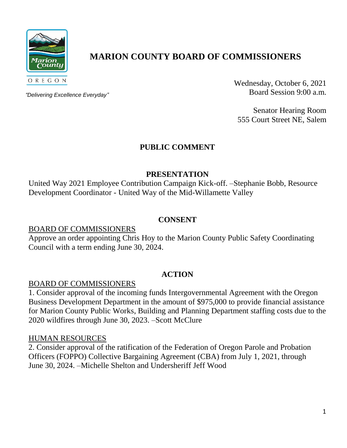

# **MARION COUNTY BOARD OF COMMISSIONERS**

*"Delivering Excellence Everyday"*

Wednesday, October 6, 2021 Board Session 9:00 a.m.

Senator Hearing Room 555 Court Street NE, Salem

## **PUBLIC COMMENT**

## **PRESENTATION**

United Way 2021 Employee Contribution Campaign Kick-off. –Stephanie Bobb, Resource Development Coordinator - United Way of the Mid-Willamette Valley

## **CONSENT**

#### BOARD OF COMMISSIONERS

Approve an order appointing Chris Hoy to the Marion County Public Safety Coordinating Council with a term ending June 30, 2024.

## **ACTION**

## BOARD OF COMMISSIONERS

1. Consider approval of the incoming funds Intergovernmental Agreement with the Oregon Business Development Department in the amount of \$975,000 to provide financial assistance for Marion County Public Works, Building and Planning Department staffing costs due to the 2020 wildfires through June 30, 2023. –Scott McClure

## HUMAN RESOURCES

2. Consider approval of the ratification of the Federation of Oregon Parole and Probation Officers (FOPPO) Collective Bargaining Agreement (CBA) from July 1, 2021, through June 30, 2024. –Michelle Shelton and Undersheriff Jeff Wood